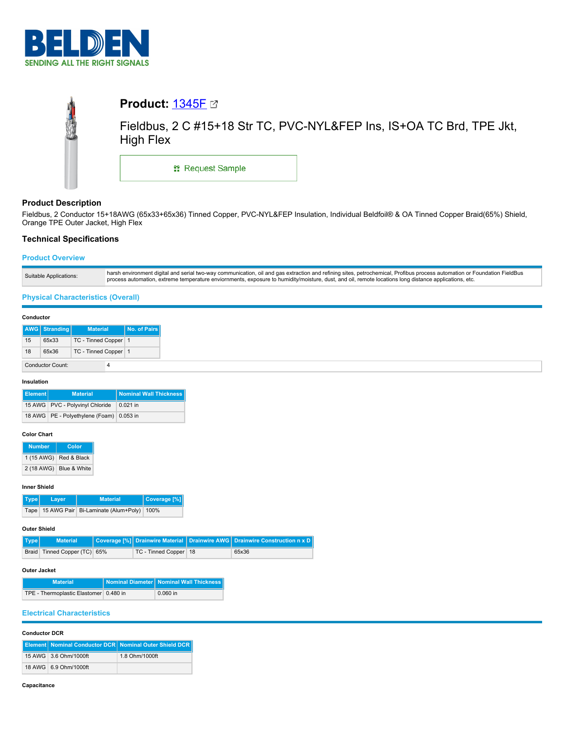

|            | <b>Product: 1345F ⊠</b> |                                                                      |
|------------|-------------------------|----------------------------------------------------------------------|
| <b>AND</b> | High Flex               | Fieldbus, 2 C #15+18 Str TC, PVC-NYL&FEP Ins, IS+OA TC Brd, TPE Jkt, |
|            | <b>: Request Sample</b> |                                                                      |

# **Product Description**

Fieldbus, 2 Conductor 15+18AWG (65x33+65x36) Tinned Copper, PVC-NYL&FEP Insulation, Individual Beldfoil® & OA Tinned Copper Braid(65%) Shield, Orange TPE Outer Jacket, High Flex

# **Technical Specifications**

# **Product Overview**

| t digital and serial two-way communication, oil and gas extraction and refining sites, petrochemical. Profibus process automation or Foundation FieldBus<br>harsh environment<br>Suitable Applications:<br>s automation, extreme temperature enviornments, exposure to humidity/moisture, dust, and oil, remote locations long distance applications, etc.<br><b>process</b> |  |
|------------------------------------------------------------------------------------------------------------------------------------------------------------------------------------------------------------------------------------------------------------------------------------------------------------------------------------------------------------------------------|--|
|------------------------------------------------------------------------------------------------------------------------------------------------------------------------------------------------------------------------------------------------------------------------------------------------------------------------------------------------------------------------------|--|

# **Physical Characteristics (Overall)**

### **Conductor**

|    | <b>AWG</b> Stranding    | <b>Material</b>      | <b>No. of Pairs</b> |
|----|-------------------------|----------------------|---------------------|
| 15 | 65x33                   | TC - Tinned Copper 1 |                     |
| 18 | 65x36                   | TC - Tinned Copper 1 |                     |
|    | <b>Conductor Count:</b> |                      |                     |

## **Insulation**

| Element | <b>Material</b>                            | <b>Nominal Wall Thickness</b> |
|---------|--------------------------------------------|-------------------------------|
|         | 15 AWG PVC - Polyvinyl Chloride            | $0.021$ in                    |
|         | 18 AWG   PE - Polyethylene (Foam) 0.053 in |                               |

## **Color Chart**

| <b>Number</b> | Color        |
|---------------|--------------|
| 1 (15 AWG)    | Red & Black  |
| 2 (18 AWG)    | Blue & White |

#### **Inner Shield**

|  | Type Layer | <b>Material</b>                                     | Coverage [%] |
|--|------------|-----------------------------------------------------|--------------|
|  |            | Tape   15 AWG Pair   Bi-Laminate (Alum+Poly)   100% |              |

#### **Outer Shield**

| Type | <b>Material</b>              |                         | Coverage [%] Drainwire Material Drainwire AWG Drainwire Construction n x D |
|------|------------------------------|-------------------------|----------------------------------------------------------------------------|
|      | Braid Tinned Copper (TC) 65% | TC - Tinned Copper   18 | 65x36                                                                      |

# **Outer Jacket**

| <b>Material</b>                        | Nominal Diameter   Nominal Wall Thickness |
|----------------------------------------|-------------------------------------------|
| TPE - Thermoplastic Elastomer 0.480 in | $0.060$ in                                |

# **Electrical Characteristics**

## **Conductor DCR**

|  |                       | Element   Nominal Conductor DCR   Nominal Outer Shield DCR |
|--|-----------------------|------------------------------------------------------------|
|  | 15 AWG 3.6 Ohm/1000ft | 1.8 Ohm/1000ft                                             |
|  | 18 AWG 6.9 Ohm/1000ft |                                                            |

#### **Capacitance**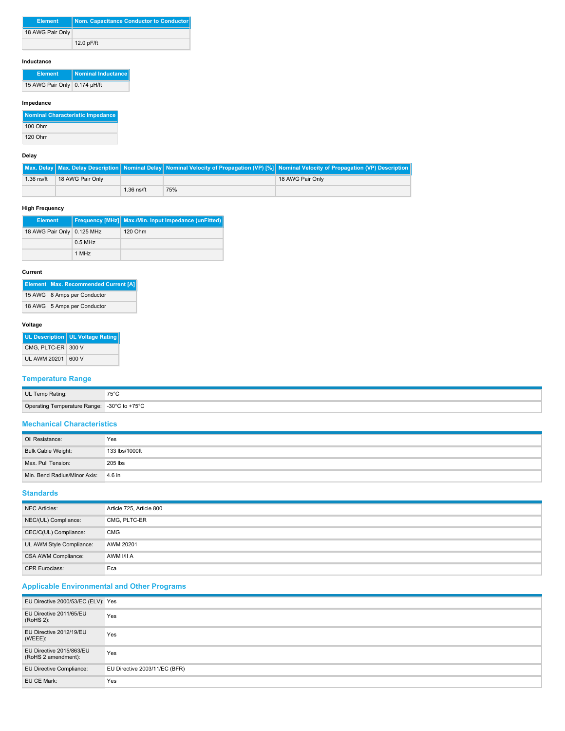| <b>Element</b>   | Nom. Capacitance Conductor to Conductor |
|------------------|-----------------------------------------|
| 18 AWG Pair Only |                                         |
|                  | 12.0 pF/ft                              |

# **Inductance**

| <b>Element</b>               | Nominal Inductance |
|------------------------------|--------------------|
| 15 AWG Pair Only 0.174 µH/ft |                    |

# **Impedance**

| Nominal Characteristic Impedance |
|----------------------------------|
| 100 Ohm                          |
| 120 Ohm                          |

## **Delay**

|              |                  |              |     | Max. Delay   Max. Delay Description   Nominal Delay   Nominal Velocity of Propagation (VP) [%]   Nominal Velocity of Propagation (VP) Description |
|--------------|------------------|--------------|-----|---------------------------------------------------------------------------------------------------------------------------------------------------|
| $1.36$ ns/ft | 18 AWG Pair Only |              |     | 18 AWG Pair Only                                                                                                                                  |
|              |                  | $1.36$ ns/ft | 75% |                                                                                                                                                   |

# **High Frequency**

| <b>Element</b>             |           | <b>Frequency [MHz]</b> Max./Min. Input Impedance (unFitted) |
|----------------------------|-----------|-------------------------------------------------------------|
| 18 AWG Pair Only 0.125 MHz |           | 120 Ohm                                                     |
|                            | $0.5$ MHz |                                                             |
|                            | 1 MHz     |                                                             |

# **Current**

| <b>Element Max. Recommended Current [A]</b> |
|---------------------------------------------|
| 15 AWG 8 Amps per Conductor                 |
| 18 AWG 5 Amps per Conductor                 |

# **Voltage**

|                    | UL Description   UL Voltage Rating |
|--------------------|------------------------------------|
| CMG. PLTC-ER 300 V |                                    |
| UL AWM 20201 600 V |                                    |

# **Temperature Range**

| UL Temp Rating:                             | 75°C<br>ں ں |
|---------------------------------------------|-------------|
| Operating Temperature Range: -30°C to +75°C |             |

# **Mechanical Characteristics**

| Oil Resistance:                     | Yes            |
|-------------------------------------|----------------|
| Bulk Cable Weight:                  | 133 lbs/1000ft |
| Max, Pull Tension:                  | 205 lbs        |
| Min. Bend Radius/Minor Axis: 4.6 in |                |

# **Standards**

| NEC Articles:            | Article 725, Article 800 |
|--------------------------|--------------------------|
| NEC/(UL) Compliance:     | CMG, PLTC-ER             |
| CEC/C(UL) Compliance:    | CMG                      |
| UL AWM Style Compliance: | AWM 20201                |
| CSA AWM Compliance:      | AWM I/II A               |
| <b>CPR Euroclass:</b>    | Eca                      |

# **Applicable Environmental and Other Programs**

| EU Directive 2000/53/EC (ELV): Yes              |                               |
|-------------------------------------------------|-------------------------------|
| EU Directive 2011/65/EU<br>(RoHS 2):            | Yes                           |
| EU Directive 2012/19/EU<br>$(WEEE)$ :           | Yes                           |
| EU Directive 2015/863/EU<br>(RoHS 2 amendment): | Yes                           |
| <b>EU Directive Compliance:</b>                 | EU Directive 2003/11/EC (BFR) |
| EU CE Mark:                                     | Yes                           |